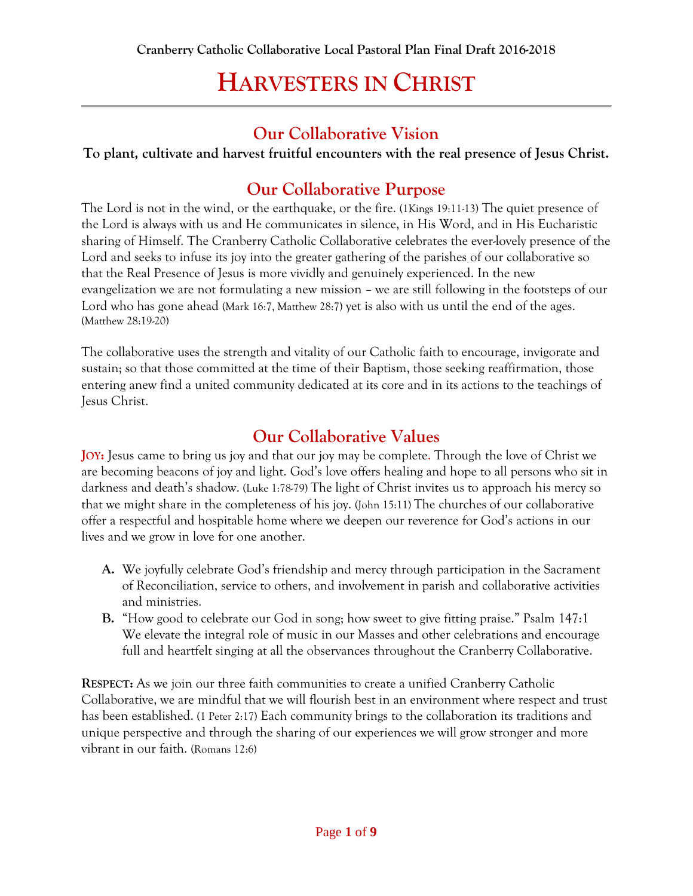### **Our Collaborative Vision**

**To plant, cultivate and harvest fruitful encounters with the real presence of Jesus Christ.**

### **Our Collaborative Purpose**

The Lord is not in the wind, or the earthquake, or the fire. (1Kings 19:11-13) The quiet presence of the Lord is always with us and He communicates in silence, in His Word, and in His Eucharistic sharing of Himself. The Cranberry Catholic Collaborative celebrates the ever-lovely presence of the Lord and seeks to infuse its joy into the greater gathering of the parishes of our collaborative so that the Real Presence of Jesus is more vividly and genuinely experienced. In the new evangelization we are not formulating a new mission – we are still following in the footsteps of our Lord who has gone ahead (Mark 16:7, Matthew 28:7) yet is also with us until the end of the ages. (Matthew 28:19-20)

The collaborative uses the strength and vitality of our Catholic faith to encourage, invigorate and sustain; so that those committed at the time of their Baptism, those seeking reaffirmation, those entering anew find a united community dedicated at its core and in its actions to the teachings of Jesus Christ.

### **Our Collaborative Values**

**JOY:** Jesus came to bring us joy and that our joy may be complete. Through the love of Christ we are becoming beacons of joy and light. God's love offers healing and hope to all persons who sit in darkness and death's shadow. (Luke 1:78-79) The light of Christ invites us to approach his mercy so that we might share in the completeness of his joy. (John 15:11) The churches of our collaborative offer a respectful and hospitable home where we deepen our reverence for God's actions in our lives and we grow in love for one another.

- **A.** We joyfully celebrate God's friendship and mercy through participation in the Sacrament of Reconciliation, service to others, and involvement in parish and collaborative activities and ministries.
- **B.** "How good to celebrate our God in song; how sweet to give fitting praise." Psalm 147:1 We elevate the integral role of music in our Masses and other celebrations and encourage full and heartfelt singing at all the observances throughout the Cranberry Collaborative.

**RESPECT:** As we join our three faith communities to create a unified Cranberry Catholic Collaborative, we are mindful that we will flourish best in an environment where respect and trust has been established. (1 Peter 2:17) Each community brings to the collaboration its traditions and unique perspective and through the sharing of our experiences we will grow stronger and more vibrant in our faith. (Romans 12:6)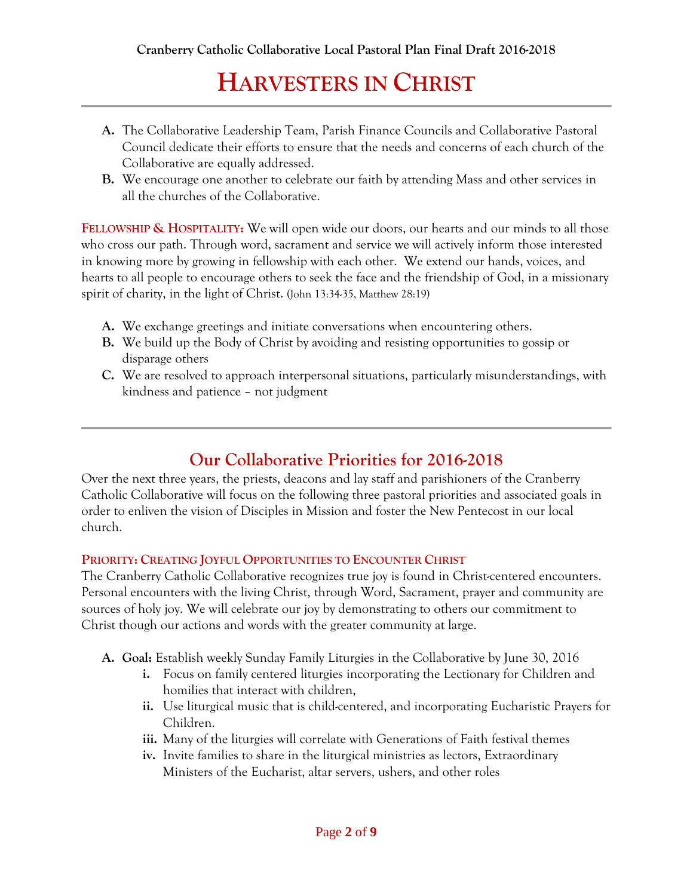- **A.** The Collaborative Leadership Team, Parish Finance Councils and Collaborative Pastoral Council dedicate their efforts to ensure that the needs and concerns of each church of the Collaborative are equally addressed.
- **B.** We encourage one another to celebrate our faith by attending Mass and other services in all the churches of the Collaborative.

**FELLOWSHIP & HOSPITALITY:** We will open wide our doors, our hearts and our minds to all those who cross our path. Through word, sacrament and service we will actively inform those interested in knowing more by growing in fellowship with each other. We extend our hands, voices, and hearts to all people to encourage others to seek the face and the friendship of God, in a missionary spirit of charity, in the light of Christ. (John 13:34-35, Matthew 28:19)

- **A.** We exchange greetings and initiate conversations when encountering others.
- **B.** We build up the Body of Christ by avoiding and resisting opportunities to gossip or disparage others
- **C.** We are resolved to approach interpersonal situations, particularly misunderstandings, with kindness and patience – not judgment

### **Our Collaborative Priorities for 2016-2018**

Over the next three years, the priests, deacons and lay staff and parishioners of the Cranberry Catholic Collaborative will focus on the following three pastoral priorities and associated goals in order to enliven the vision of Disciples in Mission and foster the New Pentecost in our local church.

#### **PRIORITY: CREATING JOYFUL OPPORTUNITIES TO ENCOUNTER CHRIST**

The Cranberry Catholic Collaborative recognizes true joy is found in Christ-centered encounters. Personal encounters with the living Christ, through Word, Sacrament, prayer and community are sources of holy joy. We will celebrate our joy by demonstrating to others our commitment to Christ though our actions and words with the greater community at large.

- **A. Goal:** Establish weekly Sunday Family Liturgies in the Collaborative by June 30, 2016
	- **i.** Focus on family centered liturgies incorporating the Lectionary for Children and homilies that interact with children,
	- **ii.** Use liturgical music that is child-centered, and incorporating Eucharistic Prayers for Children.
	- **iii.** Many of the liturgies will correlate with Generations of Faith festival themes
	- **iv.** Invite families to share in the liturgical ministries as lectors, Extraordinary Ministers of the Eucharist, altar servers, ushers, and other roles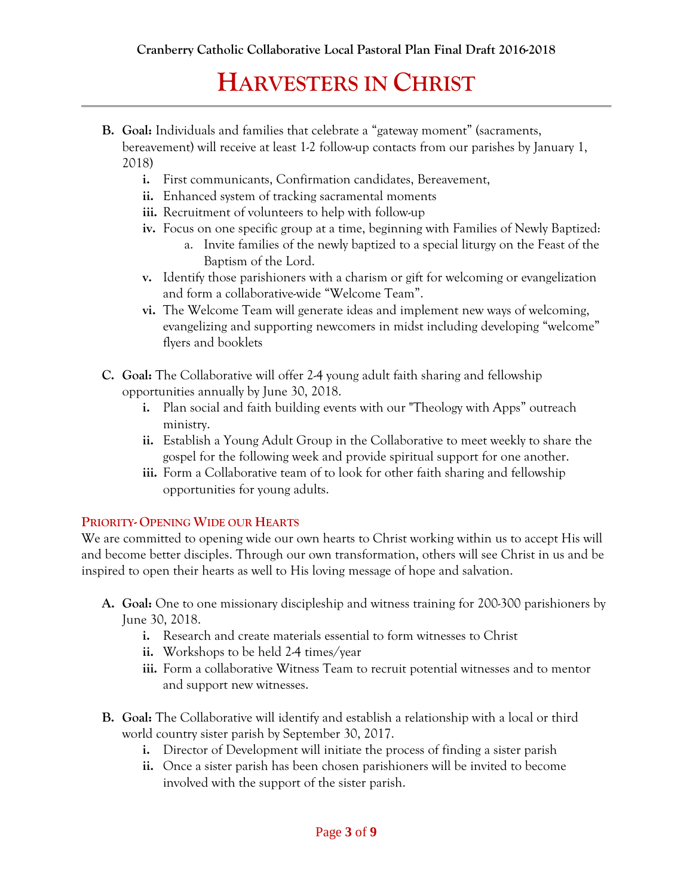- **B. Goal:** Individuals and families that celebrate a "gateway moment" (sacraments, bereavement) will receive at least 1-2 follow-up contacts from our parishes by January 1, 2018)
	- **i.** First communicants, Confirmation candidates, Bereavement,
	- **ii.** Enhanced system of tracking sacramental moments
	- **iii.** Recruitment of volunteers to help with follow-up
	- **iv.** Focus on one specific group at a time, beginning with Families of Newly Baptized:
		- a. Invite families of the newly baptized to a special liturgy on the Feast of the Baptism of the Lord.
	- **v.** Identify those parishioners with a charism or gift for welcoming or evangelization and form a collaborative-wide "Welcome Team".
	- **vi.** The Welcome Team will generate ideas and implement new ways of welcoming, evangelizing and supporting newcomers in midst including developing "welcome" flyers and booklets
- **C. Goal:** The Collaborative will offer 2-4 young adult faith sharing and fellowship opportunities annually by June 30, 2018.
	- **i.** Plan social and faith building events with our "Theology with Apps" outreach ministry.
	- **ii.** Establish a Young Adult Group in the Collaborative to meet weekly to share the gospel for the following week and provide spiritual support for one another.
	- **iii.** Form a Collaborative team of to look for other faith sharing and fellowship opportunities for young adults.

#### **PRIORITY- OPENING WIDE OUR HEARTS**

We are committed to opening wide our own hearts to Christ working within us to accept His will and become better disciples. Through our own transformation, others will see Christ in us and be inspired to open their hearts as well to His loving message of hope and salvation.

- **A. Goal:** One to one missionary discipleship and witness training for 200-300 parishioners by June 30, 2018.
	- **i.** Research and create materials essential to form witnesses to Christ
	- **ii.** Workshops to be held 2-4 times/year
	- **iii.** Form a collaborative Witness Team to recruit potential witnesses and to mentor and support new witnesses.
- **B. Goal:** The Collaborative will identify and establish a relationship with a local or third world country sister parish by September 30, 2017.
	- **i.** Director of Development will initiate the process of finding a sister parish
	- **ii.** Once a sister parish has been chosen parishioners will be invited to become involved with the support of the sister parish.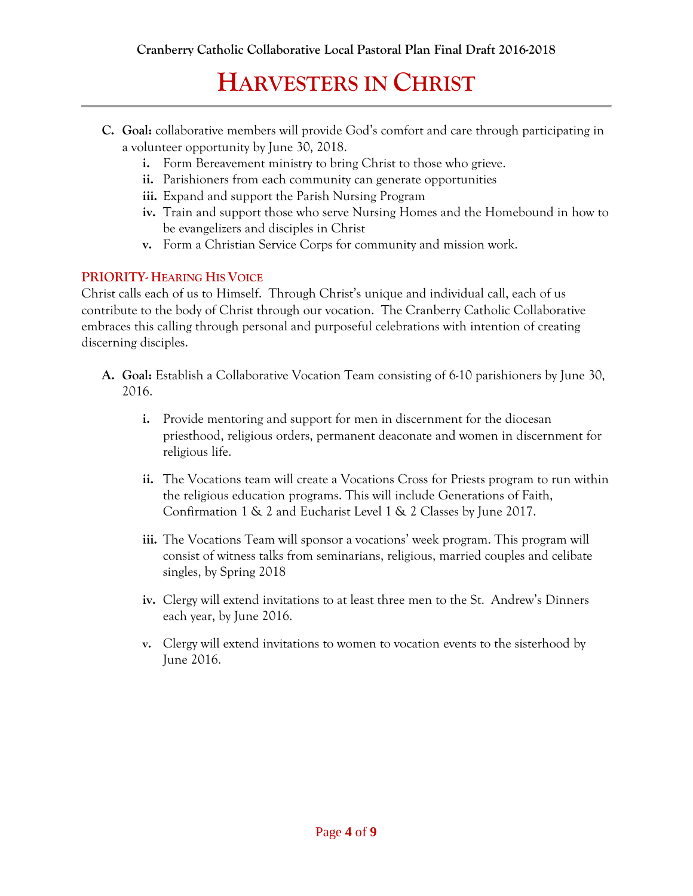- **C. Goal:** collaborative members will provide God's comfort and care through participating in a volunteer opportunity by June 30, 2018.
	- **i.** Form Bereavement ministry to bring Christ to those who grieve.
	- **ii.** Parishioners from each community can generate opportunities
	- **iii.** Expand and support the Parish Nursing Program
	- **iv.** Train and support those who serve Nursing Homes and the Homebound in how to be evangelizers and disciples in Christ
	- **v.** Form a Christian Service Corps for community and mission work.

#### **PRIORITY- HEARING HIS VOICE**

Christ calls each of us to Himself. Through Christ's unique and individual call, each of us contribute to the body of Christ through our vocation. The Cranberry Catholic Collaborative embraces this calling through personal and purposeful celebrations with intention of creating discerning disciples.

- **A. Goal:** Establish a Collaborative Vocation Team consisting of 6-10 parishioners by June 30, 2016.
	- **i.** Provide mentoring and support for men in discernment for the diocesan priesthood, religious orders, permanent deaconate and women in discernment for religious life.
	- **ii.** The Vocations team will create a Vocations Cross for Priests program to run within the religious education programs. This will include Generations of Faith, Confirmation 1 & 2 and Eucharist Level 1 & 2 Classes by June 2017.
	- **iii.** The Vocations Team will sponsor a vocations' week program. This program will consist of witness talks from seminarians, religious, married couples and celibate singles, by Spring 2018
	- **iv.** Clergy will extend invitations to at least three men to the St. Andrew's Dinners each year, by June 2016.
	- **v.** Clergy will extend invitations to women to vocation events to the sisterhood by June 2016.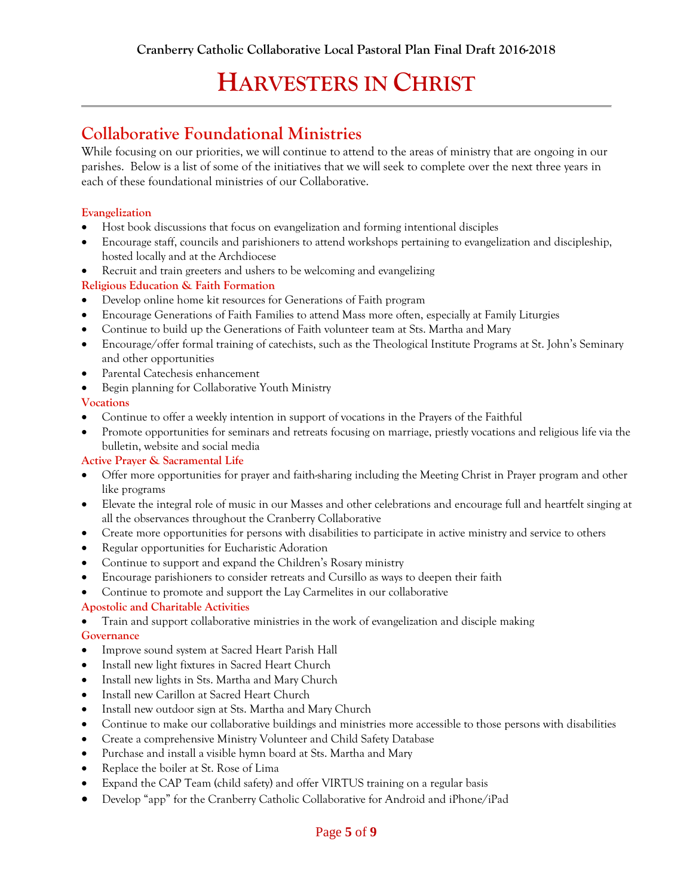### **Collaborative Foundational Ministries**

While focusing on our priorities, we will continue to attend to the areas of ministry that are ongoing in our parishes. Below is a list of some of the initiatives that we will seek to complete over the next three years in each of these foundational ministries of our Collaborative.

#### **Evangelization**

- Host book discussions that focus on evangelization and forming intentional disciples
- Encourage staff, councils and parishioners to attend workshops pertaining to evangelization and discipleship, hosted locally and at the Archdiocese
- Recruit and train greeters and ushers to be welcoming and evangelizing

#### **Religious Education & Faith Formation**

- Develop online home kit resources for Generations of Faith program
- Encourage Generations of Faith Families to attend Mass more often, especially at Family Liturgies
- Continue to build up the Generations of Faith volunteer team at Sts. Martha and Mary
- Encourage/offer formal training of catechists, such as the Theological Institute Programs at St. John's Seminary and other opportunities
- Parental Catechesis enhancement
- Begin planning for Collaborative Youth Ministry

#### **Vocations**

- Continue to offer a weekly intention in support of vocations in the Prayers of the Faithful
- Promote opportunities for seminars and retreats focusing on marriage, priestly vocations and religious life via the bulletin, website and social media

#### **Active Prayer & Sacramental Life**

- Offer more opportunities for prayer and faith-sharing including the Meeting Christ in Prayer program and other like programs
- Elevate the integral role of music in our Masses and other celebrations and encourage full and heartfelt singing at all the observances throughout the Cranberry Collaborative
- Create more opportunities for persons with disabilities to participate in active ministry and service to others
- Regular opportunities for Eucharistic Adoration
- Continue to support and expand the Children's Rosary ministry
- Encourage parishioners to consider retreats and Cursillo as ways to deepen their faith
- Continue to promote and support the Lay Carmelites in our collaborative

#### **Apostolic and Charitable Activities**

Train and support collaborative ministries in the work of evangelization and disciple making

#### **Governance**

- Improve sound system at Sacred Heart Parish Hall
- Install new light fixtures in Sacred Heart Church
- Install new lights in Sts. Martha and Mary Church
- Install new Carillon at Sacred Heart Church
- Install new outdoor sign at Sts. Martha and Mary Church
- Continue to make our collaborative buildings and ministries more accessible to those persons with disabilities
- Create a comprehensive Ministry Volunteer and Child Safety Database
- Purchase and install a visible hymn board at Sts. Martha and Mary
- Replace the boiler at St. Rose of Lima
- Expand the CAP Team (child safety) and offer VIRTUS training on a regular basis
- Develop "app" for the Cranberry Catholic Collaborative for Android and iPhone/iPad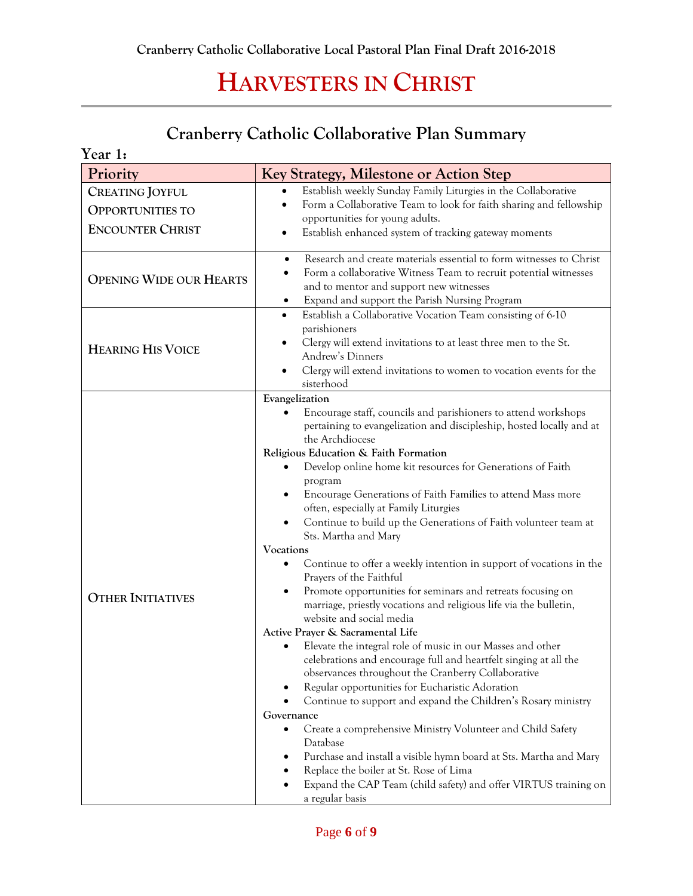### **Cranberry Catholic Collaborative Plan Summary**

| Year 1:                                                                      |                                                                                                                                                                                                                                                                                                                                                                                                                                                                                                                                                                                                                                                                                                                                                                                                                                                                                                                                                                                                                                                                                                                                                                                                                                                                                                                                                                                                                                                                                                                 |  |
|------------------------------------------------------------------------------|-----------------------------------------------------------------------------------------------------------------------------------------------------------------------------------------------------------------------------------------------------------------------------------------------------------------------------------------------------------------------------------------------------------------------------------------------------------------------------------------------------------------------------------------------------------------------------------------------------------------------------------------------------------------------------------------------------------------------------------------------------------------------------------------------------------------------------------------------------------------------------------------------------------------------------------------------------------------------------------------------------------------------------------------------------------------------------------------------------------------------------------------------------------------------------------------------------------------------------------------------------------------------------------------------------------------------------------------------------------------------------------------------------------------------------------------------------------------------------------------------------------------|--|
| Priority                                                                     | Key Strategy, Milestone or Action Step                                                                                                                                                                                                                                                                                                                                                                                                                                                                                                                                                                                                                                                                                                                                                                                                                                                                                                                                                                                                                                                                                                                                                                                                                                                                                                                                                                                                                                                                          |  |
| <b>CREATING JOYFUL</b><br><b>OPPORTUNITIES TO</b><br><b>ENCOUNTER CHRIST</b> | Establish weekly Sunday Family Liturgies in the Collaborative<br>$\bullet$<br>Form a Collaborative Team to look for faith sharing and fellowship<br>opportunities for young adults.<br>Establish enhanced system of tracking gateway moments                                                                                                                                                                                                                                                                                                                                                                                                                                                                                                                                                                                                                                                                                                                                                                                                                                                                                                                                                                                                                                                                                                                                                                                                                                                                    |  |
| <b>OPENING WIDE OUR HEARTS</b>                                               | Research and create materials essential to form witnesses to Christ<br>$\bullet$<br>Form a collaborative Witness Team to recruit potential witnesses<br>and to mentor and support new witnesses<br>Expand and support the Parish Nursing Program<br>$\bullet$                                                                                                                                                                                                                                                                                                                                                                                                                                                                                                                                                                                                                                                                                                                                                                                                                                                                                                                                                                                                                                                                                                                                                                                                                                                   |  |
| <b>HEARING HIS VOICE</b>                                                     | Establish a Collaborative Vocation Team consisting of 6-10<br>$\bullet$<br>parishioners<br>Clergy will extend invitations to at least three men to the St.<br>Andrew's Dinners<br>Clergy will extend invitations to women to vocation events for the<br>sisterhood                                                                                                                                                                                                                                                                                                                                                                                                                                                                                                                                                                                                                                                                                                                                                                                                                                                                                                                                                                                                                                                                                                                                                                                                                                              |  |
| <b>OTHER INITIATIVES</b>                                                     | Evangelization<br>Encourage staff, councils and parishioners to attend workshops<br>pertaining to evangelization and discipleship, hosted locally and at<br>the Archdiocese<br>Religious Education & Faith Formation<br>Develop online home kit resources for Generations of Faith<br>program<br>Encourage Generations of Faith Families to attend Mass more<br>often, especially at Family Liturgies<br>Continue to build up the Generations of Faith volunteer team at<br>Sts. Martha and Mary<br>Vocations<br>Continue to offer a weekly intention in support of vocations in the<br>$\bullet$<br>Prayers of the Faithful<br>Promote opportunities for seminars and retreats focusing on<br>marriage, priestly vocations and religious life via the bulletin,<br>website and social media<br>Active Prayer & Sacramental Life<br>Elevate the integral role of music in our Masses and other<br>$\bullet$<br>celebrations and encourage full and heartfelt singing at all the<br>observances throughout the Cranberry Collaborative<br>Regular opportunities for Eucharistic Adoration<br>٠<br>Continue to support and expand the Children's Rosary ministry<br>Governance<br>Create a comprehensive Ministry Volunteer and Child Safety<br>$\bullet$<br>Database<br>Purchase and install a visible hymn board at Sts. Martha and Mary<br>$\bullet$<br>Replace the boiler at St. Rose of Lima<br>$\bullet$<br>Expand the CAP Team (child safety) and offer VIRTUS training on<br>$\bullet$<br>a regular basis |  |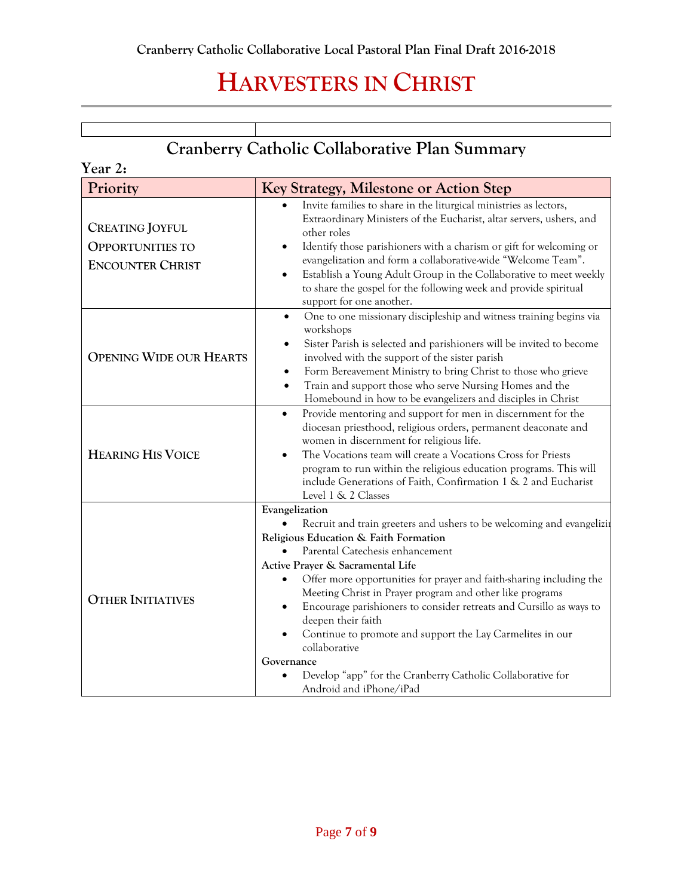### **Cranberry Catholic Collaborative Plan Summary**

| Year 2:                                                                      |                                                                                                                                                                                                                                                                                                                                                                                                                                                                                                                                                                                                                                           |  |
|------------------------------------------------------------------------------|-------------------------------------------------------------------------------------------------------------------------------------------------------------------------------------------------------------------------------------------------------------------------------------------------------------------------------------------------------------------------------------------------------------------------------------------------------------------------------------------------------------------------------------------------------------------------------------------------------------------------------------------|--|
| Priority                                                                     | Key Strategy, Milestone or Action Step                                                                                                                                                                                                                                                                                                                                                                                                                                                                                                                                                                                                    |  |
| <b>CREATING JOYFUL</b><br><b>OPPORTUNITIES TO</b><br><b>ENCOUNTER CHRIST</b> | Invite families to share in the liturgical ministries as lectors,<br>Extraordinary Ministers of the Eucharist, altar servers, ushers, and<br>other roles<br>Identify those parishioners with a charism or gift for welcoming or<br>evangelization and form a collaborative-wide "Welcome Team".<br>Establish a Young Adult Group in the Collaborative to meet weekly<br>to share the gospel for the following week and provide spiritual<br>support for one another.                                                                                                                                                                      |  |
| <b>OPENING WIDE OUR HEARTS</b>                                               | One to one missionary discipleship and witness training begins via<br>$\bullet$<br>workshops<br>Sister Parish is selected and parishioners will be invited to become<br>$\bullet$<br>involved with the support of the sister parish<br>Form Bereavement Ministry to bring Christ to those who grieve<br>$\bullet$<br>Train and support those who serve Nursing Homes and the<br>$\bullet$<br>Homebound in how to be evangelizers and disciples in Christ                                                                                                                                                                                  |  |
| <b>HEARING HIS VOICE</b>                                                     | Provide mentoring and support for men in discernment for the<br>$\bullet$<br>diocesan priesthood, religious orders, permanent deaconate and<br>women in discernment for religious life.<br>The Vocations team will create a Vocations Cross for Priests<br>program to run within the religious education programs. This will<br>include Generations of Faith, Confirmation 1 & 2 and Eucharist<br>Level 1 & 2 Classes                                                                                                                                                                                                                     |  |
| <b>OTHER INITIATIVES</b>                                                     | Evangelization<br>Recruit and train greeters and ushers to be welcoming and evangelizit<br>Religious Education & Faith Formation<br>Parental Catechesis enhancement<br>Active Prayer & Sacramental Life<br>Offer more opportunities for prayer and faith-sharing including the<br>Meeting Christ in Prayer program and other like programs<br>Encourage parishioners to consider retreats and Cursillo as ways to<br>deepen their faith<br>Continue to promote and support the Lay Carmelites in our<br>$\bullet$<br>collaborative<br>Governance<br>Develop "app" for the Cranberry Catholic Collaborative for<br>Android and iPhone/iPad |  |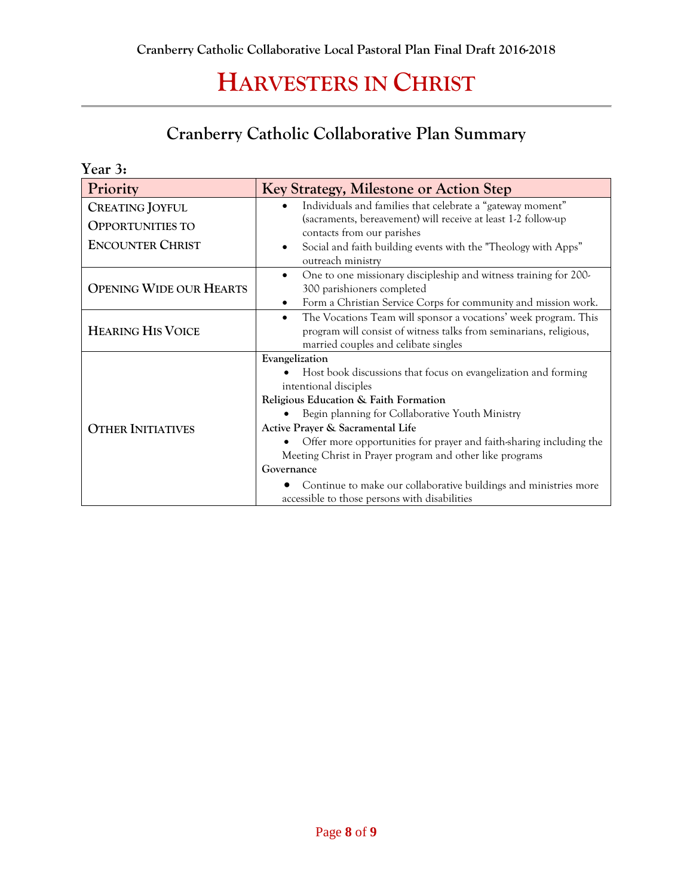### **Cranberry Catholic Collaborative Plan Summary**

| Year 3:                                                                      |                                                                                                                                                                                                                                                                                                                                                                                                                                                                                                                 |
|------------------------------------------------------------------------------|-----------------------------------------------------------------------------------------------------------------------------------------------------------------------------------------------------------------------------------------------------------------------------------------------------------------------------------------------------------------------------------------------------------------------------------------------------------------------------------------------------------------|
| Priority                                                                     | Key Strategy, Milestone or Action Step                                                                                                                                                                                                                                                                                                                                                                                                                                                                          |
| <b>CREATING JOYFUL</b><br><b>OPPORTUNITIES TO</b><br><b>ENCOUNTER CHRIST</b> | Individuals and families that celebrate a "gateway moment"<br>(sacraments, bereavement) will receive at least 1-2 follow-up<br>contacts from our parishes<br>Social and faith building events with the "Theology with Apps"<br>٠<br>outreach ministry                                                                                                                                                                                                                                                           |
| <b>OPENING WIDE OUR HEARTS</b>                                               | One to one missionary discipleship and witness training for 200-<br>$\bullet$<br>300 parishioners completed<br>Form a Christian Service Corps for community and mission work.<br>$\bullet$                                                                                                                                                                                                                                                                                                                      |
| <b>HEARING HIS VOICE</b>                                                     | The Vocations Team will sponsor a vocations' week program. This<br>$\bullet$<br>program will consist of witness talks from seminarians, religious,<br>married couples and celibate singles                                                                                                                                                                                                                                                                                                                      |
| <b>OTHER INITIATIVES</b>                                                     | Evangelization<br>Host book discussions that focus on evangelization and forming<br>intentional disciples<br>Religious Education & Faith Formation<br>Begin planning for Collaborative Youth Ministry<br>Active Prayer & Sacramental Life<br>Offer more opportunities for prayer and faith-sharing including the<br>Meeting Christ in Prayer program and other like programs<br>Governance<br>Continue to make our collaborative buildings and ministries more<br>accessible to those persons with disabilities |